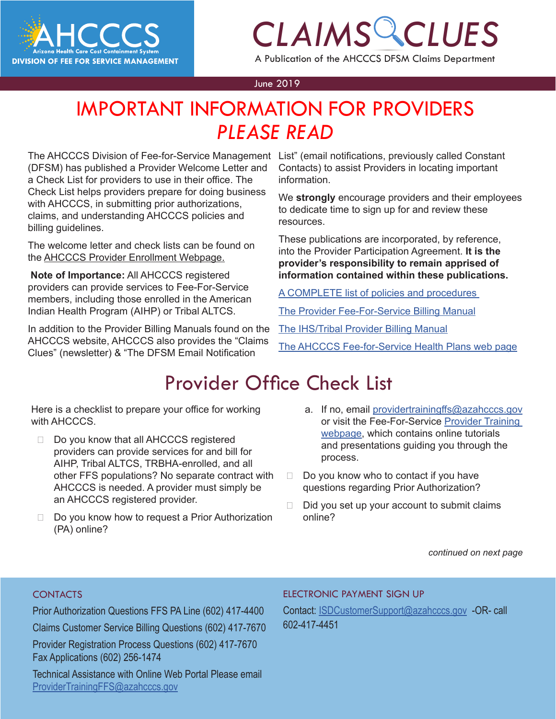

# *CLAIMS CLUES*

A Publication of the AHCCCS DFSM Claims Department

#### June 2019

### **CAIMS CHARGES** IMPORTANT INFORMATION FOR PROVIDERS *PLEASE READ*

The AHCCCS Division of Fee-for-Service Management List" (email notifications, previously called Constant (DFSM) has published a Provider Welcome Letter and a Check List for providers to use in their office. The Check List helps providers prepare for doing business with AHCCCS, in submitting prior authorizations, claims, and understanding AHCCCS policies and billing guidelines.

The welcome letter and check lists can be found on the [AHCCCS Provider Enrollment Webpage.](https://azahcccs.gov/PlansProviders/NewProviders/registration.html)

**Note of Importance:** All AHCCCS registered providers can provide services to Fee-For-Service members, including those enrolled in the American Indian Health Program (AIHP) or Tribal ALTCS.

In addition to the Provider Billing Manuals found on the AHCCCS website, AHCCCS also provides the "Claims Clues" (newsletter) & "The DFSM Email Notification

Contacts) to assist Providers in locating important information.

We **strongly** encourage providers and their employees to dedicate time to sign up for and review these resources.

These publications are incorporated, by reference, into the Provider Participation Agreement. **It is the provider's responsibility to remain apprised of information contained within these publications.** 

[A COMPLETE list of policies and procedures](https://www.azahcccs.gov/PlansProviders/GuidesManualsPolicies/index.html
) 

[The Provider Fee-For-Service Billing Manual](https://www.azahcccs.gov/PlansProviders/RatesAndBilling/FFS/providermanual.html
)

[The IHS/Tribal Provider Billing Manual](https://www.azahcccs.gov/PlansProviders/RatesAndBilling/ProviderManuals/IHStribalbillingManual.html)

[The AHCCCS Fee-for-Service Health Plans web page](https://www.azahcccs.gov/PlansProviders/FeeForServiceHealthPlans/)

## Provider Office Check List

Here is a checklist to prepare your office for working with AHCCCS

- Do you know that all AHCCCS registered providers can provide services for and bill for AIHP, Tribal ALTCS, TRBHA-enrolled, and all other FFS populations? No separate contract with AHCCCS is needed. A provider must simply be an AHCCCS registered provider.
- $\Box$  Do you know how to request a Prior Authorization (PA) online?
- a. If no, email [providertrainingffs@azahcccs.gov](mailto:providertrainingffs@azahcccs.gov) or visit the Fee-For-Service [Provider Training](https://tst.azahcccs.gov/Resources/Training/DFSM_Training.html) [webpage](https://tst.azahcccs.gov/Resources/Training/DFSM_Training.html), which contains online tutorials and presentations guiding you through the process.
- $\Box$  Do you know who to contact if you have questions regarding Prior Authorization?
- $\Box$  Did you set up your account to submit claims online?

*continued on next page*

### **CONTACTS**

Prior Authorization Questions FFS PA Line (602) 417-4400 Claims Customer Service Billing Questions (602) 417-7670 Provider Registration Process Questions (602) 417-7670 Fax Applications (602) 256-1474 Technical Assistance with Online Web Portal Please email

[ProviderTrainingFFS@azahcccs.gov](mailto:ProviderTrainingFFS%40azahcccs.gov%20?subject=)

#### [ELECTRONIC PAYMENT SIGN UP](mailto:ProviderTrainingFFS%40azahcccs.gov%20?subject=)

[Contact: ISDCustomerSupport@azahcccs.gov -OR- call](mailto:ProviderTrainingFFS%40azahcccs.gov%20?subject=)  602-417-4451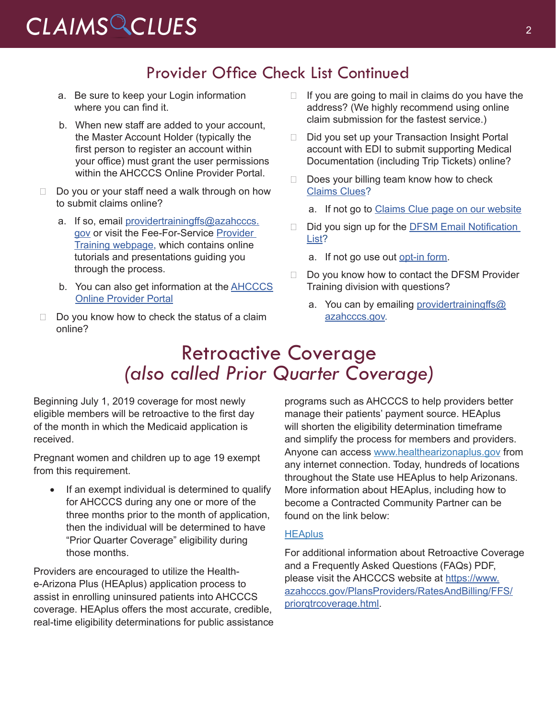# *CLAIMS CLUES* <sup>2</sup>

### Provider Office Check List Continued

- a. Be sure to keep your Login information where you can find it.
- b. When new staff are added to your account, the Master Account Holder (typically the first person to register an account within your office) must grant the user permissions within the AHCCCS Online Provider Portal.
- $\Box$  Do you or your staff need a walk through on how to submit claims online?
	- a. If so, email [providertrainingffs@azahcccs.](mailto:providertrainingffs@azahcccs.gov) [gov](mailto:providertrainingffs@azahcccs.gov) or visit the Fee-For-Service [Provider](https://tst.azahcccs.gov/Resources/Training/DFSM_Training.html) [Training webpage](https://tst.azahcccs.gov/Resources/Training/DFSM_Training.html), which contains online tutorials and presentations guiding you through the process.
	- b. You can also get information at t[he AHCCCS](https://azweb.statemedicaid.us/Account/Login.aspx?ReturnUrl=%2f) [Online Provider Portal](https://azweb.statemedicaid.us/Account/Login.aspx?ReturnUrl=%2f)
- $\Box$  Do you know how to check the status of a claim online?
- $\Box$  If you are going to mail in claims do you have the address? (We highly recommend using online claim submission for the fastest service.)
- $\Box$  Did you set up your Transaction Insight Portal account with EDI to submit supporting Medical Documentation (including Trip Tickets) online?
- $\Box$  Does your billing team know how to check [Claims Clues?](https://www.azahcccs.gov/PlansProviders/RatesAndBilling/FFS/claimsclues.html)
	- a. If not go to [Claims Clue page on our website](https://www.azahcccs.gov/PlansProviders/RatesAndBilling/FFS/claimsclues.html)
- $\Box$  Did you sign up for the DFSM Email Notification [List](https://visitor.r20.constantcontact.com/manage/optin?v=001gF-kjPbNwUl4qTFXa25yg7PI-lJiYCg93XrtPtORBVs5LfBVH0-8vbcm12yD-2XXtSsqiYUBOmMmlkrI8ahm_2YiyBfBDlwfmRmEGrovUOSP6DcA-KbmT-Ql0Lmk0PExgqaWuvz6fV2kNwVjevvO11fbEYfxSl5MtPdTd_x0b-d44ezL3scdyI-S4QgYEsLUgwtSDvtSPxE%3D)?
	- a. If not go use out [opt-in form](https://visitor.r20.constantcontact.com/manage/optin?v=001gF-kjPbNwUl4qTFXa25yg7PI-lJiYCg93XrtPtORBVs5LfBVH0-8vbcm12yD-2XXtSsqiYUBOmMmlkrI8ahm_2YiyBfBDlwfmRmEGrovUOSP6DcA-KbmT-Ql0Lmk0PExgqaWuvz6fV2kNwVjevvO11fbEYfxSl5MtPdTd_x0b-d44ezL3scdyI-S4QgYEsLUgwtSDvtSPxE%3D).
- $\Box$  Do you know how to contact the DFSM Provider Training division with questions?
	- a. You can by emailing [providertrainingffs@](mailto:providertrainingffs@azahcccs.gov) [azahcccs.gov.](mailto:providertrainingffs@azahcccs.gov)

## Retroactive Coverage *(also called Prior Quarter Coverage)*

Beginning July 1, 2019 coverage for most newly eligible members will be retroactive to the first day of the month in which the Medicaid application is received.

Pregnant women and children up to age 19 exempt from this requirement.

• If an exempt individual is determined to qualify for AHCCCS during any one or more of the three months prior to the month of application, then the individual will be determined to have "Prior Quarter Coverage" eligibility during those months.

Providers are encouraged to utilize the Healthe-Arizona Plus (HEAplus) application process to assist in enrolling uninsured patients into AHCCCS coverage. HEAplus offers the most accurate, credible, real-time eligibility determinations for public assistance

programs such as AHCCCS to help providers better manage their patients' payment source. HEAplus will shorten the eligibility determination timeframe and simplify the process for members and providers. Anyone can access [www.healthearizonaplus.gov](https://www.healthearizonaplus.gov/Default/Default.aspx) from any internet connection. Today, hundreds of locations throughout the State use HEAplus to help Arizonans. More information about HEAplus, including how to become a Contracted Community Partner can be found on the link below:

### **[HEAplus](https://www.healthearizonaplus.gov/Default/Default.aspx)**

For additional information about Retroactive Coverage and a Frequently Asked Questions (FAQs) PDF, please visit the AHCCCS website at [https://www.](https://www.azahcccs.gov/PlansProviders/RatesAndBilling/FFS/priorqtrcoverage.html) [azahcccs.gov/PlansProviders/RatesAndBilling/FFS/](https://www.azahcccs.gov/PlansProviders/RatesAndBilling/FFS/priorqtrcoverage.html) [priorqtrcoverage.html](https://www.azahcccs.gov/PlansProviders/RatesAndBilling/FFS/priorqtrcoverage.html).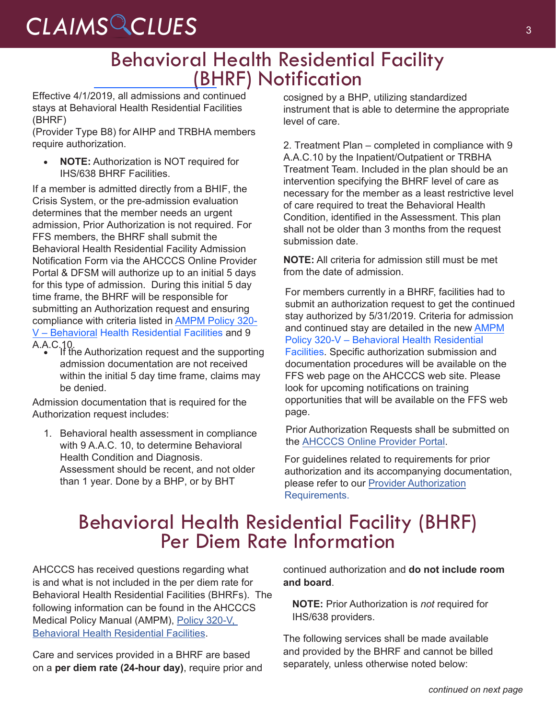# CLAIMS CLUES<sup>3</sup>

### Behavioral Health Residential Facility (BHRF) Notification

Effective 4/1/2019, all admissions and continued stays at Behavioral Health Residential Facilities (BHRF)

(Provider Type B8) for AIHP and TRBHA members require authorization.

• **NOTE:** Authorization is NOT required for IHS/638 BHRF Facilities.

If a member is admitted directly from a BHIF, the Crisis System, or the pre-admission evaluation determines that the member needs an urgent admission, Prior Authorization is not required. For FFS members, the BHRF shall submit the Behavioral Health Residential Facility Admission Notification Form via the AHCCCS Online Provider Portal & DFSM [will authorize up to an initial 5 days](https://www.azahcccs.gov/shared/Downloads/MedicalPolicyManual/300/320-V.pdf) for this type of admission. During this initial 5 day time frame, the BHRF will be responsible for submitting an Authorization request and ensuring compliance with criteria listed in AMPM Policy 320- V – Behavioral [Health Residential Facilities](https://www.azahcccs.gov/shared/Downloads/MedicalPolicyManual/300/320-V.pdf) and 9

A.A.C.10. • If the Authorization request and the supporting admission documentation are not received within the initial 5 day time frame, claims may be denied.

Admission documentation that is required for the Authorization request includes:

1. Behavioral health assessment in compliance with 9 A.A.C. 10, to determine Behavioral Health Condition and Diagnosis. Assessment should be recent, and not older than 1 year. Done by a BHP, or by BHT

cosigned by a BHP, utilizing standardized instrument that is able to determine the appropriate level of care.

2. Treatment Plan – completed in compliance with 9 A.A.C.10 by the Inpatient/Outpatient or TRBHA Treatment Team. Included in the plan should be an intervention specifying the BHRF level of care as necessary for the member as a least restrictive level of care required to treat the Behavioral Health Condition, identified in the Assessment. This plan shall not be older than 3 months from the request submission date.

**NOTE:** All criteria for admission still must be met from the date of admission.

For members currently in a BHRF, facilities had to submit an authorization request to get the continued stay authorized by 5/31/2019. Criteria for admission and continued stay are detailed in the new [AMPM](https://www.azahcccs.gov/shared/Downloads/MedicalPolicyManual/300/320-V.pdf)  [Policy 320-V – Behavioral Health Residential](https://www.azahcccs.gov/shared/Downloads/MedicalPolicyManual/300/320-V.pdf)  [Facilities](https://www.azahcccs.gov/shared/Downloads/MedicalPolicyManual/300/320-V.pdf). Specific authorization submission and documentation procedures will be available on the FFS web page on the AHCCCS web site. Please look for upcoming notifications on training opportunities that will be available on the FFS web page.

Prior Authorization Requests shall be submitted on th[e AHCCCS Online Provider Portal](https://www.azahcccs.gov/PlansProviders/FeeForServiceHealthPlans/PriorAuthorization/submissionprocess.html
).

For guidelines related to requirements for prior authorization and i[ts accompanying docum](https://www.azahcccs.gov/PlansProviders/FeeForServiceHealthPlans/PriorAuthorization/requirements.html)entation, please refer to our Provider Authorization [Requirements.](https://www.azahcccs.gov/PlansProviders/FeeForServiceHealthPlans/PriorAuthorization/requirements.html)

# Behavioral Health Residential Facility (BHRF) Per Diem Rate Information

AHCCCS has received questions regarding what is and what is not included in the per diem rate for Behavioral Health Residential Facilities (BHRFs). The following information can be found in the AHCCCS Medical Policy Manual (AMPM), [Policy 320-V,](https://www.azahcccs.gov/shared/Downloads/MedicalPolicyManual/300/320v.pdf)  [Behavioral Health Residential Facilities](https://www.azahcccs.gov/shared/Downloads/MedicalPolicyManual/300/320v.pdf).

Care and services provided in a BHRF are based on a **per diem rate (24-hour day)**, require prior and continued authorization and **do not include room and board**.

**NOTE:** Prior Authorization is *not* required for IHS/638 providers.

The following services shall be made available and provided by the BHRF and cannot be billed separately, unless otherwise noted below: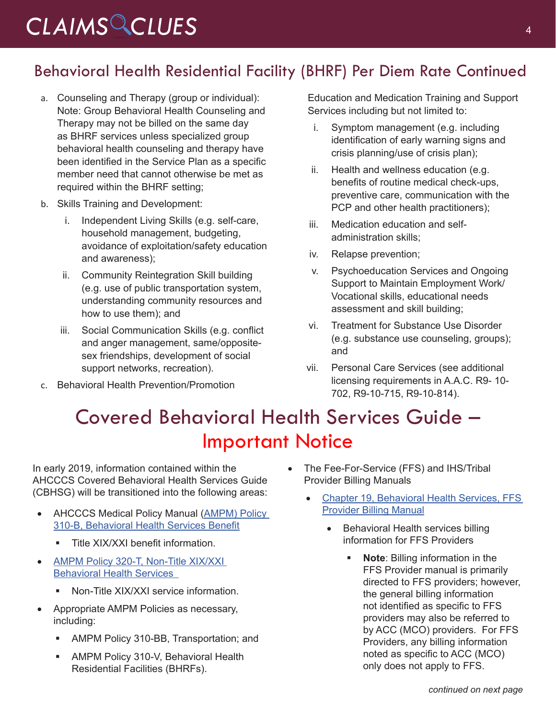# *CLAIMS CLUES* <sup>4</sup>

### Behavioral Health Residential Facility (BHRF) Per Diem Rate Continued

- a. Counseling and Therapy (group or individual): Note: Group Behavioral Health Counseling and Therapy may not be billed on the same day as BHRF services unless specialized group behavioral health counseling and therapy have been identified in the Service Plan as a specific member need that cannot otherwise be met as required within the BHRF setting;
- b. Skills Training and Development:
	- i. Independent Living Skills (e.g. self-care, household management, budgeting, avoidance of exploitation/safety education and awareness);
	- ii. Community Reintegration Skill building (e.g. use of public transportation system, understanding community resources and how to use them); and
	- iii. Social Communication Skills (e.g. conflict and anger management, same/oppositesex friendships, development of social support networks, recreation).
- c. Behavioral Health Prevention/Promotion

Education and Medication Training and Support Services including but not limited to:

- i. Symptom management (e.g. including identification of early warning signs and crisis planning/use of crisis plan);
- ii. Health and wellness education (e.g. benefits of routine medical check-ups, preventive care, communication with the PCP and other health practitioners);
- iii. Medication education and selfadministration skills;
- iv. Relapse prevention;
- v. Psychoeducation Services and Ongoing Support to Maintain Employment Work/ Vocational skills, educational needs assessment and skill building;
- vi. Treatment for Substance Use Disorder (e.g. substance use counseling, groups); and
- vii. Personal Care Services (see additional licensing requirements in A.A.C. R9- 10- 702, R9-10-715, R9-10-814).

# Covered Behavioral Health Services Guide – Important Notice

In early 2019, information contained within the AHCCCS Covered Behavioral Health Services Guide (CBHSG) will be transitioned into the following areas:

- **AHCCCS Medical Policy Manual (AMPM) Policy** [310-B, Behavioral Health Services Benefit](https://www.azahcccs.gov/shared/Downloads/MedicalPolicyManual/310B.pdf)
	- **Title XIX/XXI benefit information.**
- AMPM Policy 320-T, Non-Title XIX/XXI [Behavioral Health Services](https://www.azahcccs.gov/shared/Downloads/MedicalPolicyManual/320T.pdf) 
	- **Non-Title XIX/XXI service information.**
- • Appropriate AMPM Policies as necessary, including:
	- **AMPM Policy 310-BB, Transportation; and**
	- **AMPM Policy 310-V, Behavioral Health** Residential Facilities (BHRFs).
- The Fee-For-Service (FFS) and IHS/Tribal Provider Billing Manuals
	- Chapter 19, Behavioral Health Services, FFS [Provider Billing Manual](https://www.azahcccs.gov/shared/Downloads/MedicalPolicyManual/310B.pdf)
		- **Behavioral Health services billing** information for FFS Providers
			- **Note**: Billing information in the FFS Provider manual is primarily directed to FFS providers; however, the general billing information not identified as specific to FFS providers may also be referred to by ACC (MCO) providers. For FFS Providers, any billing information noted as specific to ACC (MCO) only does not apply to FFS.